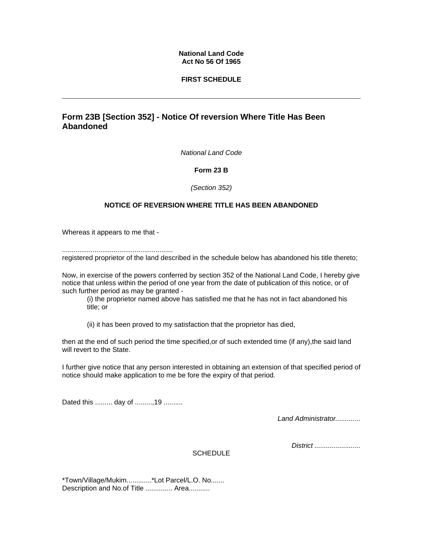## **National Land Code Act No 56 Of 1965**

## **FIRST SCHEDULE**

# **Form 23B [Section 352] - Notice Of reversion Where Title Has Been Abandoned**

*National Land Code* 

#### **Form 23 B**

*(Section 352)*

## **NOTICE OF REVERSION WHERE TITLE HAS BEEN ABANDONED**

Whereas it appears to me that -

.......................................................... registered proprietor of the land described in the schedule below has abandoned his title thereto;

Now, in exercise of the powers conferred by section 352 of the National Land Code, I hereby give notice that unless within the period of one year from the date of publication of this notice, or of such further period as may be granted -

(i) the proprietor named above has satisfied me that he has not in fact abandoned his title; or

(ii) it has been proved to my satisfaction that the proprietor has died,

then at the end of such period the time specified,or of such extended time (if any),the said land will revert to the State.

I further give notice that any person interested in obtaining an extension of that specified period of notice should make application to me be fore the expiry of that period.

Dated this ......... day of .........,19 ..........

*Land Administrator.............* 

*District ........................* 

**SCHEDULE** 

\*Town/Village/Mukim.............\*Lot Parcel/L.O. No....... Description and No.of Title .............. Area...........